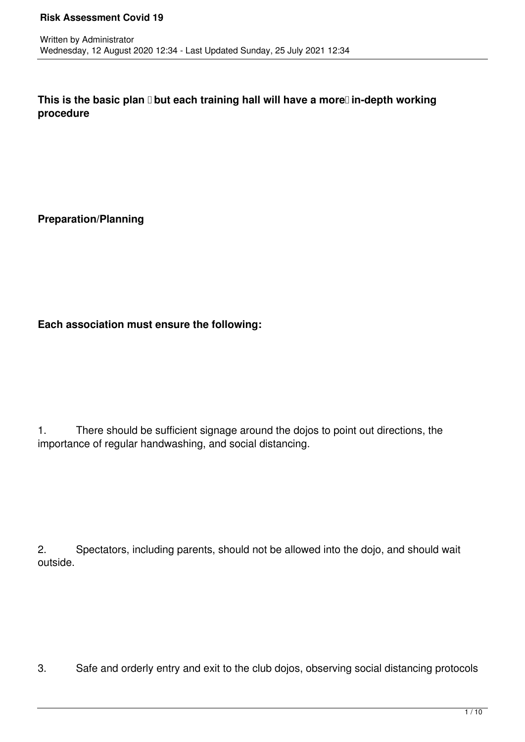This is the basic plan **D** but each training hall will have a more Din-depth working **procedure**

**Preparation/Planning**

**Each association must ensure the following:**

1. There should be sufficient signage around the dojos to point out directions, the importance of regular handwashing, and social distancing.

2. Spectators, including parents, should not be allowed into the dojo, and should wait outside.

3. Safe and orderly entry and exit to the club dojos, observing social distancing protocols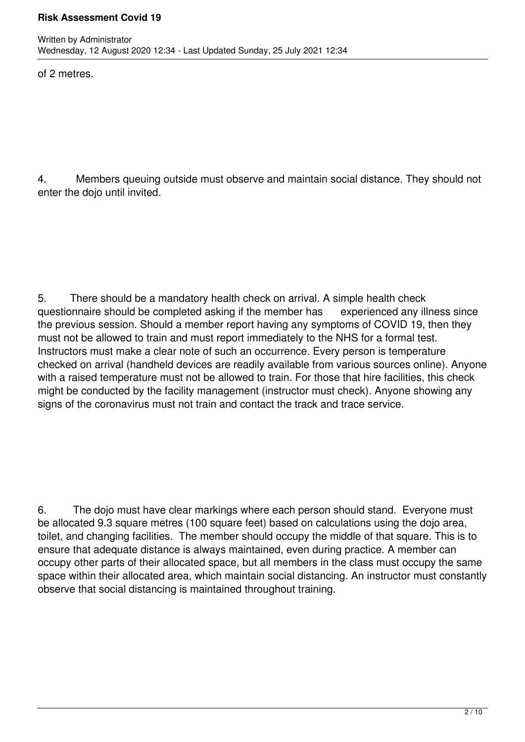### **Risk Assessment Covid 19**

of 2 metres.

4. Members queuing outside must observe and maintain social distance. They should not enter the dojo until invited.

5. There should be a mandatory health check on arrival. A simple health check questionnaire should be completed asking if the member has experienced any illness since the previous session. Should a member report having any symptoms of COVID 19, then they must not be allowed to train and must report immediately to the NHS for a formal test. Instructors must make a clear note of such an occurrence. Every person is temperature checked on arrival (handheld devices are readily available from various sources online). Anyone with a raised temperature must not be allowed to train. For those that hire facilities, this check might be conducted by the facility management (instructor must check). Anyone showing any signs of the coronavirus must not train and contact the track and trace service.

6. The dojo must have clear markings where each person should stand. Everyone must be allocated 9.3 square metres (100 square feet) based on calculations using the dojo area, toilet, and changing facilities. The member should occupy the middle of that square. This is to ensure that adequate distance is always maintained, even during practice. A member can occupy other parts of their allocated space, but all members in the class must occupy the same space within their allocated area, which maintain social distancing. An instructor must constantly observe that social distancing is maintained throughout training.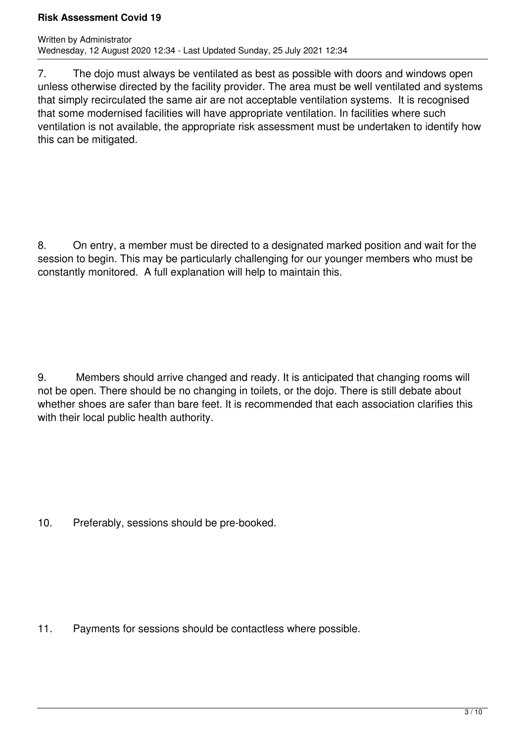### **Risk Assessment Covid 19**

7. The dojo must always be ventilated as best as possible with doors and windows open unless otherwise directed by the facility provider. The area must be well ventilated and systems that simply recirculated the same air are not acceptable ventilation systems. It is recognised that some modernised facilities will have appropriate ventilation. In facilities where such ventilation is not available, the appropriate risk assessment must be undertaken to identify how this can be mitigated.

8. On entry, a member must be directed to a designated marked position and wait for the session to begin. This may be particularly challenging for our younger members who must be constantly monitored. A full explanation will help to maintain this.

9. Members should arrive changed and ready. It is anticipated that changing rooms will not be open. There should be no changing in toilets, or the dojo. There is still debate about whether shoes are safer than bare feet. It is recommended that each association clarifies this with their local public health authority.

10. Preferably, sessions should be pre-booked.

11. Payments for sessions should be contactless where possible.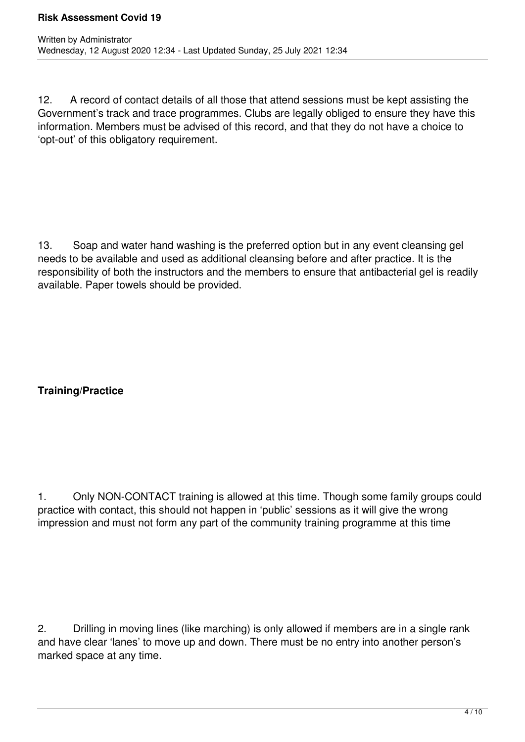12. A record of contact details of all those that attend sessions must be kept assisting the Government's track and trace programmes. Clubs are legally obliged to ensure they have this information. Members must be advised of this record, and that they do not have a choice to 'opt-out' of this obligatory requirement.

13. Soap and water hand washing is the preferred option but in any event cleansing gel needs to be available and used as additional cleansing before and after practice. It is the responsibility of both the instructors and the members to ensure that antibacterial gel is readily available. Paper towels should be provided.

# **Training/Practice**

1. Only NON-CONTACT training is allowed at this time. Though some family groups could practice with contact, this should not happen in 'public' sessions as it will give the wrong impression and must not form any part of the community training programme at this time

2. Drilling in moving lines (like marching) is only allowed if members are in a single rank and have clear 'lanes' to move up and down. There must be no entry into another person's marked space at any time.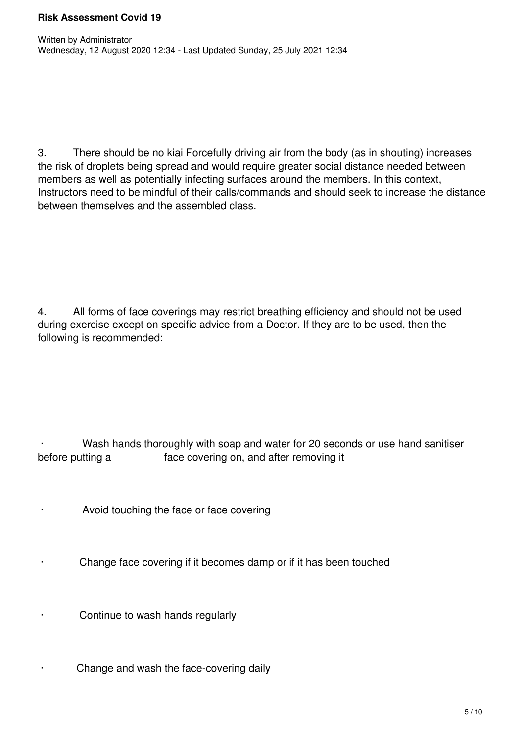3. There should be no kiai Forcefully driving air from the body (as in shouting) increases the risk of droplets being spread and would require greater social distance needed between members as well as potentially infecting surfaces around the members. In this context, Instructors need to be mindful of their calls/commands and should seek to increase the distance between themselves and the assembled class.

4. All forms of face coverings may restrict breathing efficiency and should not be used during exercise except on specific advice from a Doctor. If they are to be used, then the following is recommended:

Wash hands thoroughly with soap and water for 20 seconds or use hand sanitiser before putting a *before* putting a *before* putting a

- Avoid touching the face or face covering
- Change face covering if it becomes damp or if it has been touched
- Continue to wash hands regularly
- Change and wash the face-covering daily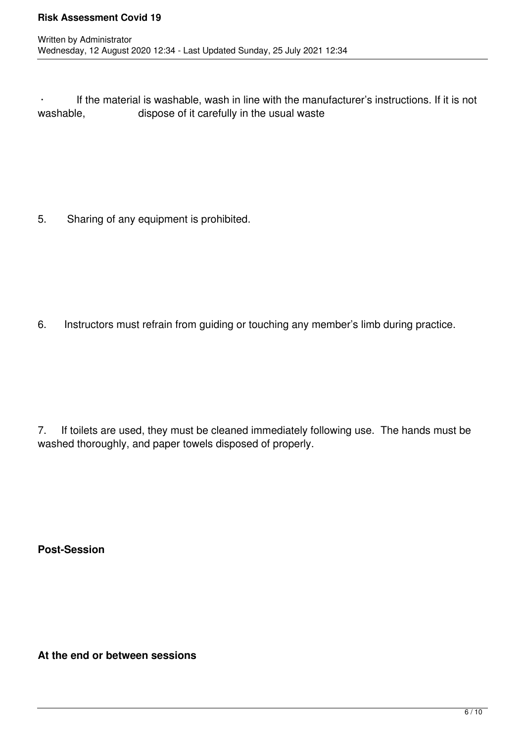· If the material is washable, wash in line with the manufacturer's instructions. If it is not dispose of it carefully in the usual waste

5. Sharing of any equipment is prohibited.

6. Instructors must refrain from guiding or touching any member's limb during practice.

7. If toilets are used, they must be cleaned immediately following use. The hands must be washed thoroughly, and paper towels disposed of properly.

**Post-Session**

**At the end or between sessions**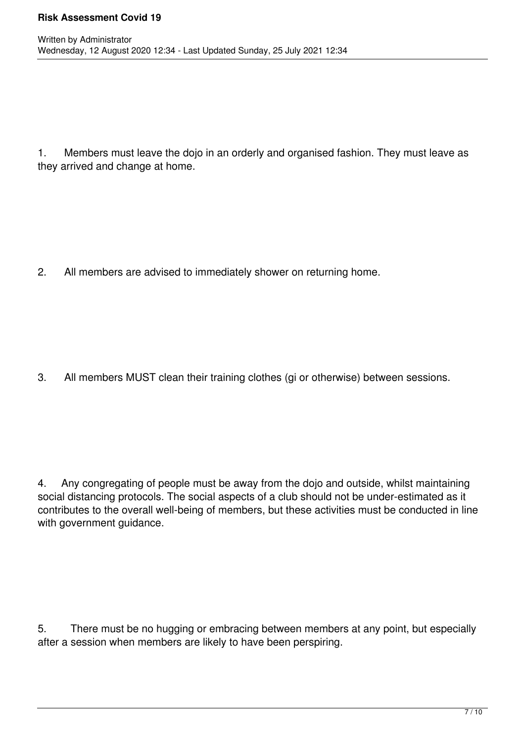1. Members must leave the dojo in an orderly and organised fashion. They must leave as they arrived and change at home.

2. All members are advised to immediately shower on returning home.

3. All members MUST clean their training clothes (gi or otherwise) between sessions.

4. Any congregating of people must be away from the dojo and outside, whilst maintaining social distancing protocols. The social aspects of a club should not be under-estimated as it contributes to the overall well-being of members, but these activities must be conducted in line with government guidance.

5. There must be no hugging or embracing between members at any point, but especially after a session when members are likely to have been perspiring.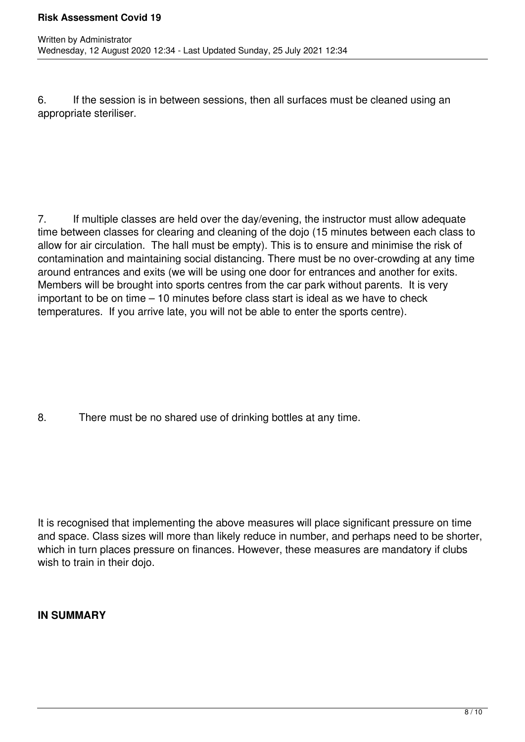6. If the session is in between sessions, then all surfaces must be cleaned using an appropriate steriliser.

7. If multiple classes are held over the day/evening, the instructor must allow adequate time between classes for clearing and cleaning of the dojo (15 minutes between each class to allow for air circulation. The hall must be empty). This is to ensure and minimise the risk of contamination and maintaining social distancing. There must be no over-crowding at any time around entrances and exits (we will be using one door for entrances and another for exits. Members will be brought into sports centres from the car park without parents. It is very important to be on time – 10 minutes before class start is ideal as we have to check temperatures. If you arrive late, you will not be able to enter the sports centre).

8. There must be no shared use of drinking bottles at any time.

It is recognised that implementing the above measures will place significant pressure on time and space. Class sizes will more than likely reduce in number, and perhaps need to be shorter, which in turn places pressure on finances. However, these measures are mandatory if clubs wish to train in their dojo.

## **IN SUMMARY**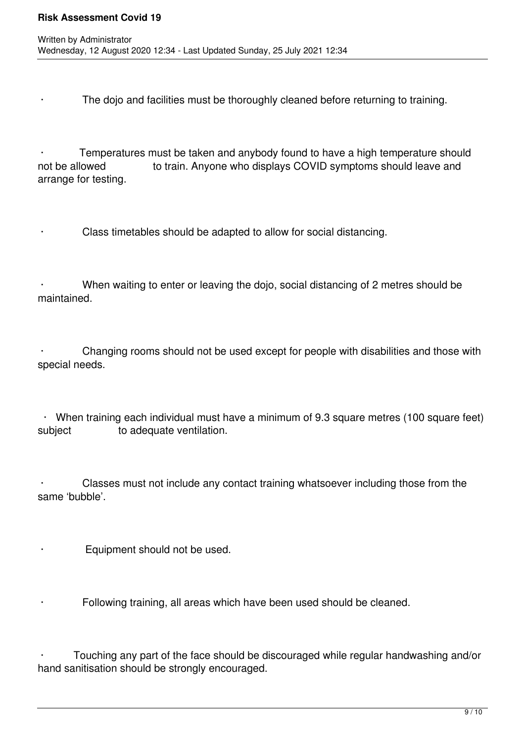The dojo and facilities must be thoroughly cleaned before returning to training.

Temperatures must be taken and anybody found to have a high temperature should not be allowed **busing to train.** Anyone who displays COVID symptoms should leave and arrange for testing.

Class timetables should be adapted to allow for social distancing.

When waiting to enter or leaving the dojo, social distancing of 2 metres should be maintained.

Changing rooms should not be used except for people with disabilities and those with special needs.

· When training each individual must have a minimum of 9.3 square metres (100 square feet) subject **to adequate ventilation**.

Classes must not include any contact training whatsoever including those from the same 'bubble'.

Equipment should not be used.

Following training, all areas which have been used should be cleaned.

 · Touching any part of the face should be discouraged while regular handwashing and/or hand sanitisation should be strongly encouraged.